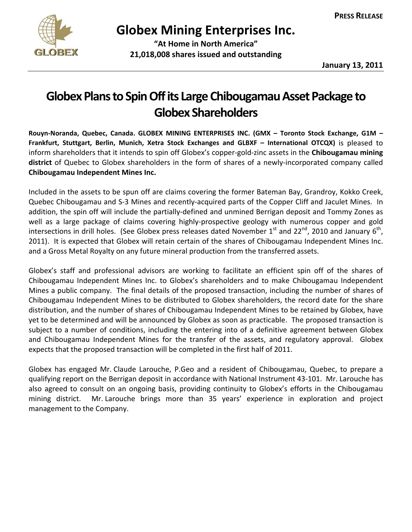

**Globex Mining Enterprises Inc.**

 **"At Home in North America" 21,018,008 shares issued and outstanding**

## **GlobexPlanstoSpinOffits LargeChibougamauAssetPackage to Globex Shareholders**

**Rouyn‐Noranda, Quebec, Canada. GLOBEX MINING ENTERPRISES INC. (GMX – Toronto Stock Exchange, G1M – Frankfurt, Stuttgart, Berlin, Munich, Xetra Stock Exchanges and GLBXF – International OTCQX)** is pleased to inform shareholders that it intends to spin off Globex's copper‐gold‐zinc assets in the **Chibougamau mining** district of Quebec to Globex shareholders in the form of shares of a newly-incorporated company called **Chibougamau Independent Mines Inc.**

Included in the assets to be spun off are claims covering the former Bateman Bay, Grandroy, Kokko Creek, Quebec Chibougamau and S‐3 Mines and recently‐acquired parts of the Copper Cliff and Jaculet Mines. In addition, the spin off will include the partially‐defined and unmined Berrigan deposit and Tommy Zones as well as a large package of claims covering highly‐prospective geology with numerous copper and gold intersections in drill holes. (See Globex press releases dated November  $1^{st}$  and 22<sup>nd</sup>, 2010 and January  $6^{th}$ , 2011). It is expected that Globex will retain certain of the shares of Chibougamau Independent Mines Inc. and a Gross Metal Royalty on any future mineral production from the transferred assets.

Globex's staff and professional advisors are working to facilitate an efficient spin off of the shares of Chibougamau Independent Mines Inc. to Globex's shareholders and to make Chibougamau Independent Mines a public company. The final details of the proposed transaction, including the number of shares of Chibougamau Independent Mines to be distributed to Globex shareholders, the record date for the share distribution, and the number of shares of Chibougamau Independent Mines to be retained by Globex, have yet to be determined and will be announced by Globex as soon as practicable. The proposed transaction is subject to a number of conditions, including the entering into of a definitive agreement between Globex and Chibougamau Independent Mines for the transfer of the assets, and regulatory approval. Globex expects that the proposed transaction will be completed in the first half of 2011.

Globex has engaged Mr. Claude Larouche, P.Geo and a resident of Chibougamau, Quebec, to prepare a qualifying report on the Berrigan deposit in accordance with National Instrument 43‐101. Mr. Larouche has also agreed to consult on an ongoing basis, providing continuity to Globex's efforts in the Chibougamau mining district. Mr. Larouche brings more than 35 years' experience in exploration and project management to the Company.